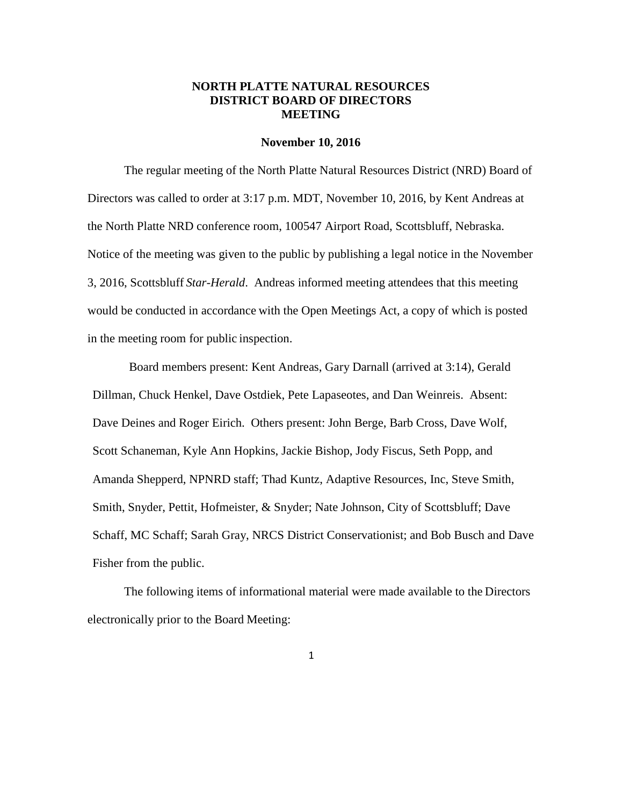## **NORTH PLATTE NATURAL RESOURCES DISTRICT BOARD OF DIRECTORS MEETING**

#### **November 10, 2016**

The regular meeting of the North Platte Natural Resources District (NRD) Board of Directors was called to order at 3:17 p.m. MDT, November 10, 2016, by Kent Andreas at the North Platte NRD conference room, 100547 Airport Road, Scottsbluff, Nebraska. Notice of the meeting was given to the public by publishing a legal notice in the November 3, 2016, Scottsbluff *Star-Herald*. Andreas informed meeting attendees that this meeting would be conducted in accordance with the Open Meetings Act, a copy of which is posted in the meeting room for public inspection.

Board members present: Kent Andreas, Gary Darnall (arrived at 3:14), Gerald Dillman, Chuck Henkel, Dave Ostdiek, Pete Lapaseotes, and Dan Weinreis. Absent: Dave Deines and Roger Eirich. Others present: John Berge, Barb Cross, Dave Wolf, Scott Schaneman, Kyle Ann Hopkins, Jackie Bishop, Jody Fiscus, Seth Popp, and Amanda Shepperd, NPNRD staff; Thad Kuntz, Adaptive Resources, Inc, Steve Smith, Smith, Snyder, Pettit, Hofmeister, & Snyder; Nate Johnson, City of Scottsbluff; Dave Schaff, MC Schaff; Sarah Gray, NRCS District Conservationist; and Bob Busch and Dave Fisher from the public.

The following items of informational material were made available to the Directors electronically prior to the Board Meeting: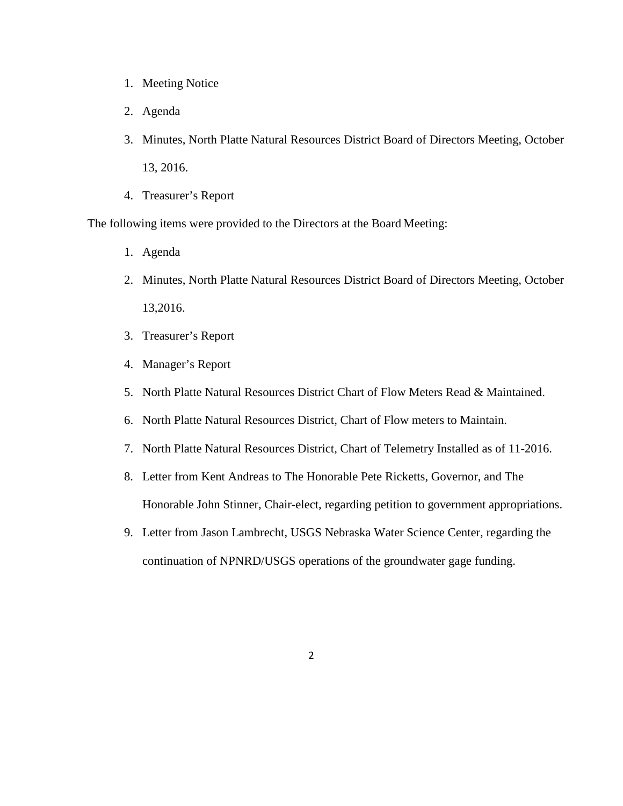- 1. Meeting Notice
- 2. Agenda
- 3. Minutes, North Platte Natural Resources District Board of Directors Meeting, October 13, 2016.
- 4. Treasurer's Report

The following items were provided to the Directors at the Board Meeting:

- 1. Agenda
- 2. Minutes, North Platte Natural Resources District Board of Directors Meeting, October 13,2016.
- 3. Treasurer's Report
- 4. Manager's Report
- 5. North Platte Natural Resources District Chart of Flow Meters Read & Maintained.
- 6. North Platte Natural Resources District, Chart of Flow meters to Maintain.
- 7. North Platte Natural Resources District, Chart of Telemetry Installed as of 11-2016.
- 8. Letter from Kent Andreas to The Honorable Pete Ricketts, Governor, and The Honorable John Stinner, Chair-elect, regarding petition to government appropriations.
- 9. Letter from Jason Lambrecht, USGS Nebraska Water Science Center, regarding the continuation of NPNRD/USGS operations of the groundwater gage funding.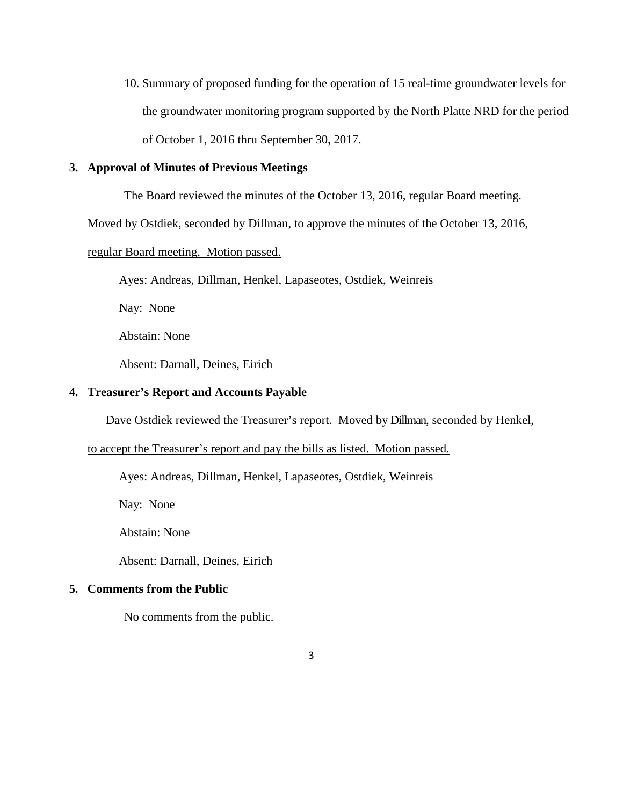10. Summary of proposed funding for the operation of 15 real-time groundwater levels for the groundwater monitoring program supported by the North Platte NRD for the period of October 1, 2016 thru September 30, 2017.

## **3. Approval of Minutes of Previous Meetings**

The Board reviewed the minutes of the October 13, 2016, regular Board meeting.

Moved by Ostdiek, seconded by Dillman, to approve the minutes of the October 13, 2016,

## regular Board meeting. Motion passed.

Ayes: Andreas, Dillman, Henkel, Lapaseotes, Ostdiek, Weinreis

Nay: None

Abstain: None

Absent: Darnall, Deines, Eirich

### **4. Treasurer's Report and Accounts Payable**

Dave Ostdiek reviewed the Treasurer's report. Moved by Dillman, seconded by Henkel,

### to accept the Treasurer's report and pay the bills as listed. Motion passed.

Ayes: Andreas, Dillman, Henkel, Lapaseotes, Ostdiek, Weinreis

Nay: None

Abstain: None

Absent: Darnall, Deines, Eirich

### **5. Comments from the Public**

No comments from the public.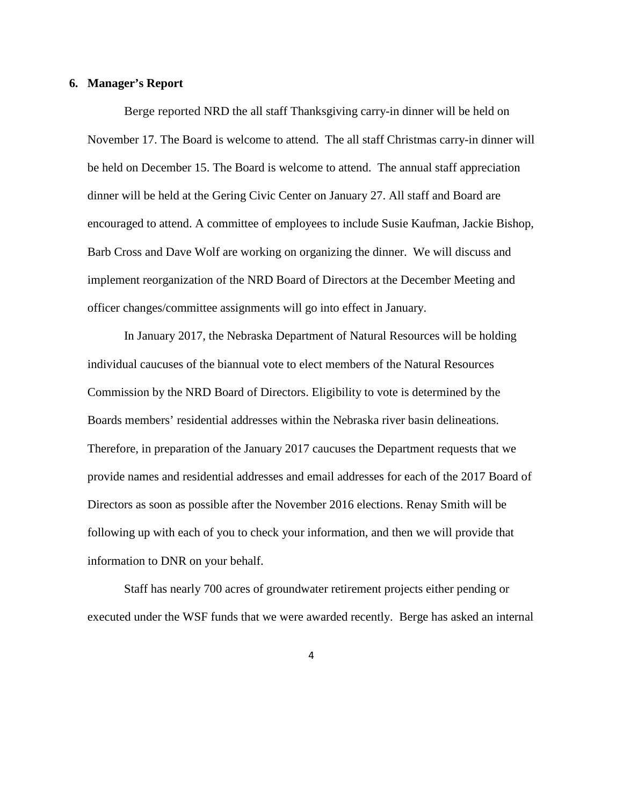#### **6. Manager's Report**

Berge reported NRD the all staff Thanksgiving carry-in dinner will be held on November 17. The Board is welcome to attend. The all staff Christmas carry-in dinner will be held on December 15. The Board is welcome to attend. The annual staff appreciation dinner will be held at the Gering Civic Center on January 27. All staff and Board are encouraged to attend. A committee of employees to include Susie Kaufman, Jackie Bishop, Barb Cross and Dave Wolf are working on organizing the dinner. We will discuss and implement reorganization of the NRD Board of Directors at the December Meeting and officer changes/committee assignments will go into effect in January.

In January 2017, the Nebraska Department of Natural Resources will be holding individual caucuses of the biannual vote to elect members of the Natural Resources Commission by the NRD Board of Directors. Eligibility to vote is determined by the Boards members' residential addresses within the Nebraska river basin delineations. Therefore, in preparation of the January 2017 caucuses the Department requests that we provide names and residential addresses and email addresses for each of the 2017 Board of Directors as soon as possible after the November 2016 elections. Renay Smith will be following up with each of you to check your information, and then we will provide that information to DNR on your behalf.

Staff has nearly 700 acres of groundwater retirement projects either pending or executed under the WSF funds that we were awarded recently. Berge has asked an internal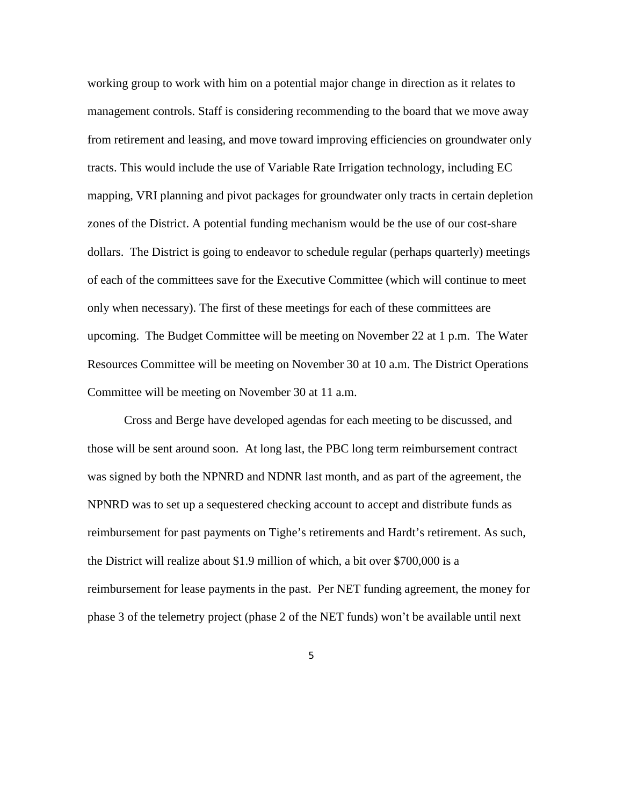working group to work with him on a potential major change in direction as it relates to management controls. Staff is considering recommending to the board that we move away from retirement and leasing, and move toward improving efficiencies on groundwater only tracts. This would include the use of Variable Rate Irrigation technology, including EC mapping, VRI planning and pivot packages for groundwater only tracts in certain depletion zones of the District. A potential funding mechanism would be the use of our cost-share dollars. The District is going to endeavor to schedule regular (perhaps quarterly) meetings of each of the committees save for the Executive Committee (which will continue to meet only when necessary). The first of these meetings for each of these committees are upcoming. The Budget Committee will be meeting on November 22 at 1 p.m. The Water Resources Committee will be meeting on November 30 at 10 a.m. The District Operations Committee will be meeting on November 30 at 11 a.m.

Cross and Berge have developed agendas for each meeting to be discussed, and those will be sent around soon. At long last, the PBC long term reimbursement contract was signed by both the NPNRD and NDNR last month, and as part of the agreement, the NPNRD was to set up a sequestered checking account to accept and distribute funds as reimbursement for past payments on Tighe's retirements and Hardt's retirement. As such, the District will realize about \$1.9 million of which, a bit over \$700,000 is a reimbursement for lease payments in the past. Per NET funding agreement, the money for phase 3 of the telemetry project (phase 2 of the NET funds) won't be available until next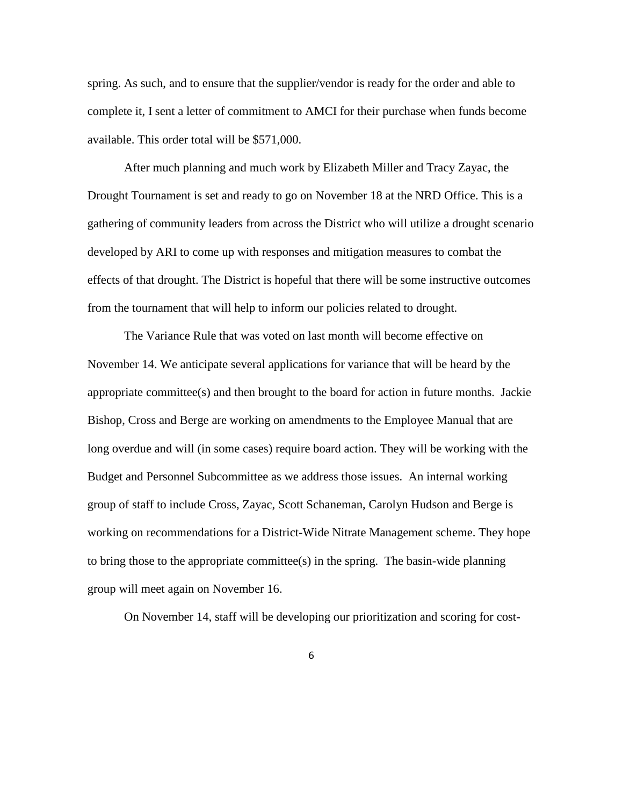spring. As such, and to ensure that the supplier/vendor is ready for the order and able to complete it, I sent a letter of commitment to AMCI for their purchase when funds become available. This order total will be \$571,000.

After much planning and much work by Elizabeth Miller and Tracy Zayac, the Drought Tournament is set and ready to go on November 18 at the NRD Office. This is a gathering of community leaders from across the District who will utilize a drought scenario developed by ARI to come up with responses and mitigation measures to combat the effects of that drought. The District is hopeful that there will be some instructive outcomes from the tournament that will help to inform our policies related to drought.

The Variance Rule that was voted on last month will become effective on November 14. We anticipate several applications for variance that will be heard by the appropriate committee(s) and then brought to the board for action in future months. Jackie Bishop, Cross and Berge are working on amendments to the Employee Manual that are long overdue and will (in some cases) require board action. They will be working with the Budget and Personnel Subcommittee as we address those issues. An internal working group of staff to include Cross, Zayac, Scott Schaneman, Carolyn Hudson and Berge is working on recommendations for a District-Wide Nitrate Management scheme. They hope to bring those to the appropriate committee(s) in the spring. The basin-wide planning group will meet again on November 16.

On November 14, staff will be developing our prioritization and scoring for cost-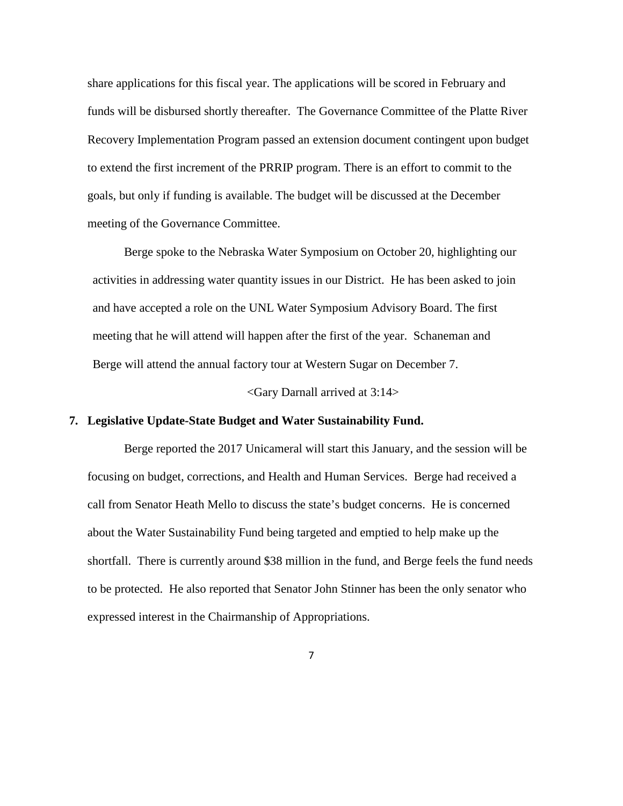share applications for this fiscal year. The applications will be scored in February and funds will be disbursed shortly thereafter. The Governance Committee of the Platte River Recovery Implementation Program passed an extension document contingent upon budget to extend the first increment of the PRRIP program. There is an effort to commit to the goals, but only if funding is available. The budget will be discussed at the December meeting of the Governance Committee.

Berge spoke to the Nebraska Water Symposium on October 20, highlighting our activities in addressing water quantity issues in our District. He has been asked to join and have accepted a role on the UNL Water Symposium Advisory Board. The first meeting that he will attend will happen after the first of the year. Schaneman and Berge will attend the annual factory tour at Western Sugar on December 7.

<Gary Darnall arrived at 3:14>

## **7. Legislative Update-State Budget and Water Sustainability Fund.**

Berge reported the 2017 Unicameral will start this January, and the session will be focusing on budget, corrections, and Health and Human Services. Berge had received a call from Senator Heath Mello to discuss the state's budget concerns. He is concerned about the Water Sustainability Fund being targeted and emptied to help make up the shortfall. There is currently around \$38 million in the fund, and Berge feels the fund needs to be protected. He also reported that Senator John Stinner has been the only senator who expressed interest in the Chairmanship of Appropriations.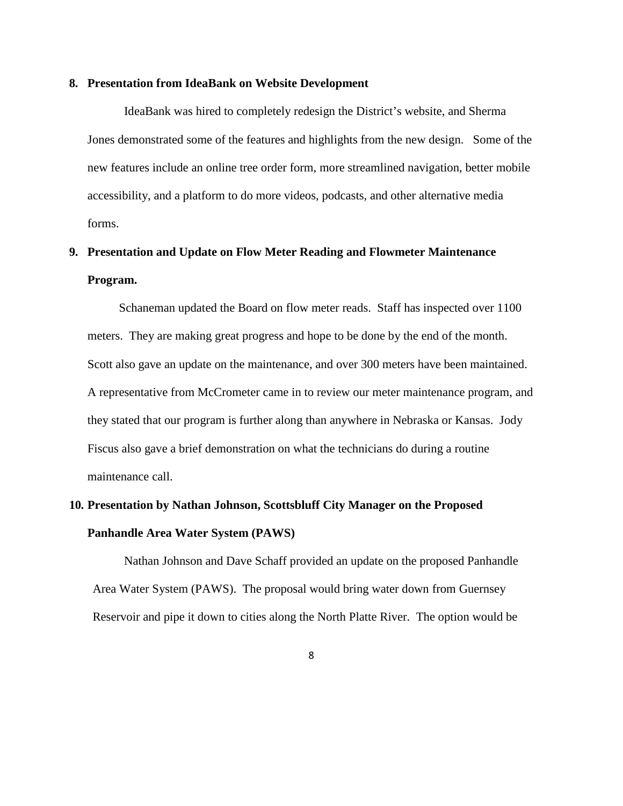#### **8. Presentation from IdeaBank on Website Development**

IdeaBank was hired to completely redesign the District's website, and Sherma Jones demonstrated some of the features and highlights from the new design. Some of the new features include an online tree order form, more streamlined navigation, better mobile accessibility, and a platform to do more videos, podcasts, and other alternative media forms.

# **9. Presentation and Update on Flow Meter Reading and Flowmeter Maintenance Program.**

Schaneman updated the Board on flow meter reads. Staff has inspected over 1100 meters. They are making great progress and hope to be done by the end of the month. Scott also gave an update on the maintenance, and over 300 meters have been maintained. A representative from McCrometer came in to review our meter maintenance program, and they stated that our program is further along than anywhere in Nebraska or Kansas. Jody Fiscus also gave a brief demonstration on what the technicians do during a routine maintenance call.

# **10. Presentation by Nathan Johnson, Scottsbluff City Manager on the Proposed Panhandle Area Water System (PAWS)**

Nathan Johnson and Dave Schaff provided an update on the proposed Panhandle Area Water System (PAWS). The proposal would bring water down from Guernsey Reservoir and pipe it down to cities along the North Platte River. The option would be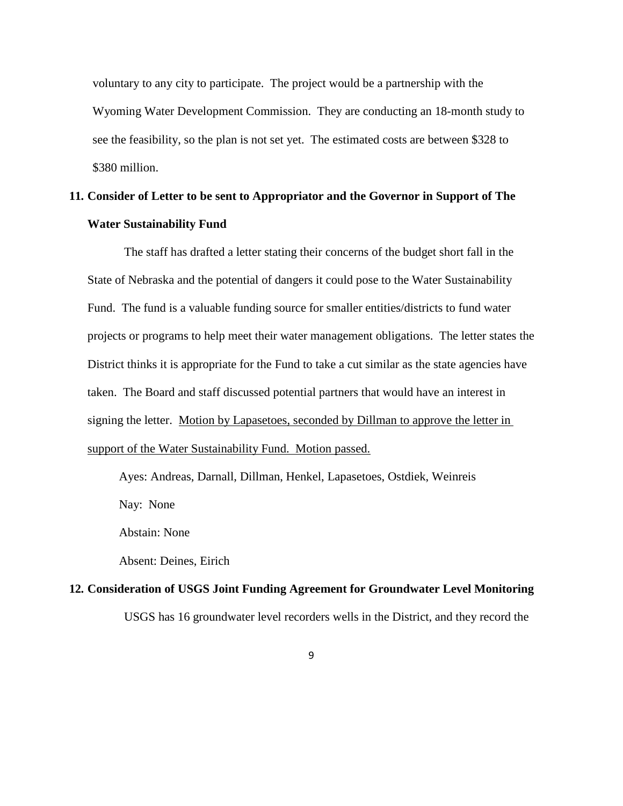voluntary to any city to participate. The project would be a partnership with the Wyoming Water Development Commission. They are conducting an 18-month study to see the feasibility, so the plan is not set yet. The estimated costs are between \$328 to \$380 million.

# **11. Consider of Letter to be sent to Appropriator and the Governor in Support of The Water Sustainability Fund**

The staff has drafted a letter stating their concerns of the budget short fall in the State of Nebraska and the potential of dangers it could pose to the Water Sustainability Fund. The fund is a valuable funding source for smaller entities/districts to fund water projects or programs to help meet their water management obligations. The letter states the District thinks it is appropriate for the Fund to take a cut similar as the state agencies have taken. The Board and staff discussed potential partners that would have an interest in signing the letter. Motion by Lapasetoes, seconded by Dillman to approve the letter in support of the Water Sustainability Fund. Motion passed.

Ayes: Andreas, Darnall, Dillman, Henkel, Lapasetoes, Ostdiek, Weinreis

Nay: None

Abstain: None

Absent: Deines, Eirich

# **12. Consideration of USGS Joint Funding Agreement for Groundwater Level Monitoring** USGS has 16 groundwater level recorders wells in the District, and they record the